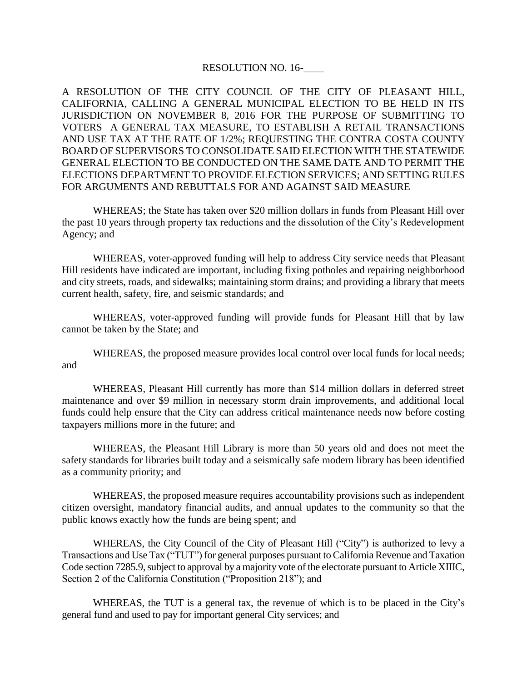## RESOLUTION NO. 16-

A RESOLUTION OF THE CITY COUNCIL OF THE CITY OF PLEASANT HILL, CALIFORNIA, CALLING A GENERAL MUNICIPAL ELECTION TO BE HELD IN ITS JURISDICTION ON NOVEMBER 8, 2016 FOR THE PURPOSE OF SUBMITTING TO VOTERS A GENERAL TAX MEASURE, TO ESTABLISH A RETAIL TRANSACTIONS AND USE TAX AT THE RATE OF 1/2%; REQUESTING THE CONTRA COSTA COUNTY BOARD OF SUPERVISORS TO CONSOLIDATE SAID ELECTION WITH THE STATEWIDE GENERAL ELECTION TO BE CONDUCTED ON THE SAME DATE AND TO PERMIT THE ELECTIONS DEPARTMENT TO PROVIDE ELECTION SERVICES; AND SETTING RULES FOR ARGUMENTS AND REBUTTALS FOR AND AGAINST SAID MEASURE

WHEREAS; the State has taken over \$20 million dollars in funds from Pleasant Hill over the past 10 years through property tax reductions and the dissolution of the City's Redevelopment Agency; and

WHEREAS, voter-approved funding will help to address City service needs that Pleasant Hill residents have indicated are important, including fixing potholes and repairing neighborhood and city streets, roads, and sidewalks; maintaining storm drains; and providing a library that meets current health, safety, fire, and seismic standards; and

WHEREAS, voter-approved funding will provide funds for Pleasant Hill that by law cannot be taken by the State; and

WHEREAS, the proposed measure provides local control over local funds for local needs; and

WHEREAS, Pleasant Hill currently has more than \$14 million dollars in deferred street maintenance and over \$9 million in necessary storm drain improvements, and additional local funds could help ensure that the City can address critical maintenance needs now before costing taxpayers millions more in the future; and

WHEREAS, the Pleasant Hill Library is more than 50 years old and does not meet the safety standards for libraries built today and a seismically safe modern library has been identified as a community priority; and

WHEREAS, the proposed measure requires accountability provisions such as independent citizen oversight, mandatory financial audits, and annual updates to the community so that the public knows exactly how the funds are being spent; and

WHEREAS, the City Council of the City of Pleasant Hill ("City") is authorized to levy a Transactions and Use Tax ("TUT") for general purposes pursuant to California Revenue and Taxation Code section 7285.9, subject to approval by a majority vote of the electorate pursuant to Article XIIIC, Section 2 of the California Constitution ("Proposition 218"); and

WHEREAS, the TUT is a general tax, the revenue of which is to be placed in the City's general fund and used to pay for important general City services; and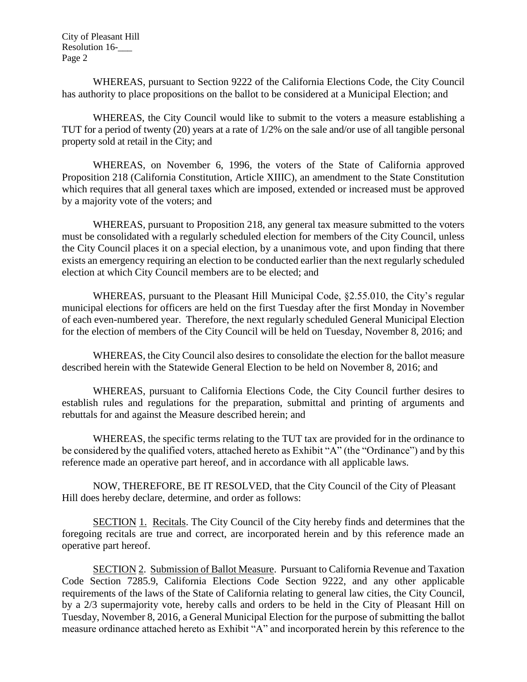City of Pleasant Hill Resolution 16-\_\_\_ Page 2

WHEREAS, pursuant to Section 9222 of the California Elections Code, the City Council has authority to place propositions on the ballot to be considered at a Municipal Election; and

WHEREAS, the City Council would like to submit to the voters a measure establishing a TUT for a period of twenty (20) years at a rate of 1/2% on the sale and/or use of all tangible personal property sold at retail in the City; and

WHEREAS, on November 6, 1996, the voters of the State of California approved Proposition 218 (California Constitution, Article XIIIC), an amendment to the State Constitution which requires that all general taxes which are imposed, extended or increased must be approved by a majority vote of the voters; and

WHEREAS, pursuant to Proposition 218, any general tax measure submitted to the voters must be consolidated with a regularly scheduled election for members of the City Council, unless the City Council places it on a special election, by a unanimous vote, and upon finding that there exists an emergency requiring an election to be conducted earlier than the next regularly scheduled election at which City Council members are to be elected; and

WHEREAS, pursuant to the Pleasant Hill Municipal Code, §2.55.010, the City's regular municipal elections for officers are held on the first Tuesday after the first Monday in November of each even-numbered year. Therefore, the next regularly scheduled General Municipal Election for the election of members of the City Council will be held on Tuesday, November 8, 2016; and

WHEREAS, the City Council also desires to consolidate the election for the ballot measure described herein with the Statewide General Election to be held on November 8, 2016; and

WHEREAS, pursuant to California Elections Code, the City Council further desires to establish rules and regulations for the preparation, submittal and printing of arguments and rebuttals for and against the Measure described herein; and

WHEREAS, the specific terms relating to the TUT tax are provided for in the ordinance to be considered by the qualified voters, attached hereto as Exhibit "A" (the "Ordinance") and by this reference made an operative part hereof, and in accordance with all applicable laws.

NOW, THEREFORE, BE IT RESOLVED, that the City Council of the City of Pleasant Hill does hereby declare, determine, and order as follows:

SECTION 1. Recitals. The City Council of the City hereby finds and determines that the foregoing recitals are true and correct, are incorporated herein and by this reference made an operative part hereof.

SECTION 2. Submission of Ballot Measure. Pursuant to California Revenue and Taxation Code Section 7285.9, California Elections Code Section 9222, and any other applicable requirements of the laws of the State of California relating to general law cities, the City Council, by a 2/3 supermajority vote, hereby calls and orders to be held in the City of Pleasant Hill on Tuesday, November 8, 2016, a General Municipal Election for the purpose of submitting the ballot measure ordinance attached hereto as Exhibit "A" and incorporated herein by this reference to the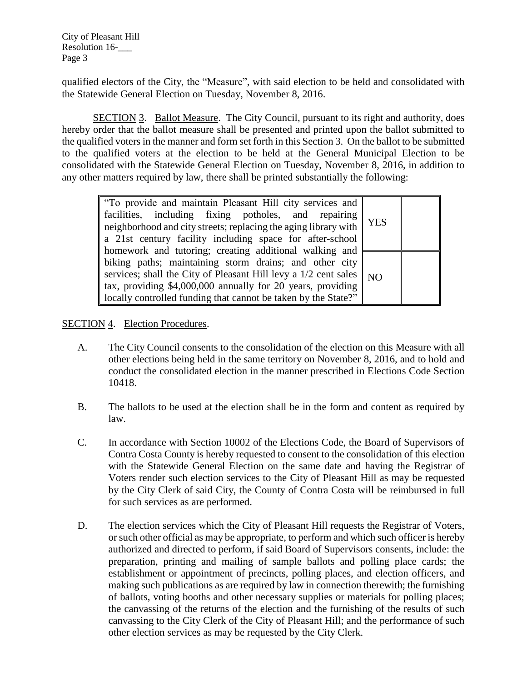City of Pleasant Hill Resolution 16-\_\_\_ Page 3

qualified electors of the City, the "Measure", with said election to be held and consolidated with the Statewide General Election on Tuesday, November 8, 2016.

SECTION 3. Ballot Measure. The City Council, pursuant to its right and authority, does hereby order that the ballot measure shall be presented and printed upon the ballot submitted to the qualified voters in the manner and form set forth in this Section 3. On the ballot to be submitted to the qualified voters at the election to be held at the General Municipal Election to be consolidated with the Statewide General Election on Tuesday, November 8, 2016, in addition to any other matters required by law, there shall be printed substantially the following:

| "To provide and maintain Pleasant Hill city services and<br>facilities, including fixing potholes, and repairing<br>neighborhood and city streets; replacing the aging library with<br>a 21st century facility including space for after-school                                                                      | <b>YES</b> |  |
|----------------------------------------------------------------------------------------------------------------------------------------------------------------------------------------------------------------------------------------------------------------------------------------------------------------------|------------|--|
| homework and tutoring; creating additional walking and<br>biking paths; maintaining storm drains; and other city<br>services; shall the City of Pleasant Hill levy a 1/2 cent sales<br>tax, providing \$4,000,000 annually for 20 years, providing<br>locally controlled funding that cannot be taken by the State?" | NO         |  |

## SECTION 4. Election Procedures.

- A. The City Council consents to the consolidation of the election on this Measure with all other elections being held in the same territory on November 8, 2016, and to hold and conduct the consolidated election in the manner prescribed in Elections Code Section 10418.
- B. The ballots to be used at the election shall be in the form and content as required by law.
- C. In accordance with Section 10002 of the Elections Code, the Board of Supervisors of Contra Costa County is hereby requested to consent to the consolidation of this election with the Statewide General Election on the same date and having the Registrar of Voters render such election services to the City of Pleasant Hill as may be requested by the City Clerk of said City, the County of Contra Costa will be reimbursed in full for such services as are performed.
- D. The election services which the City of Pleasant Hill requests the Registrar of Voters, or such other official as may be appropriate, to perform and which such officer is hereby authorized and directed to perform, if said Board of Supervisors consents, include: the preparation, printing and mailing of sample ballots and polling place cards; the establishment or appointment of precincts, polling places, and election officers, and making such publications as are required by law in connection therewith; the furnishing of ballots, voting booths and other necessary supplies or materials for polling places; the canvassing of the returns of the election and the furnishing of the results of such canvassing to the City Clerk of the City of Pleasant Hill; and the performance of such other election services as may be requested by the City Clerk.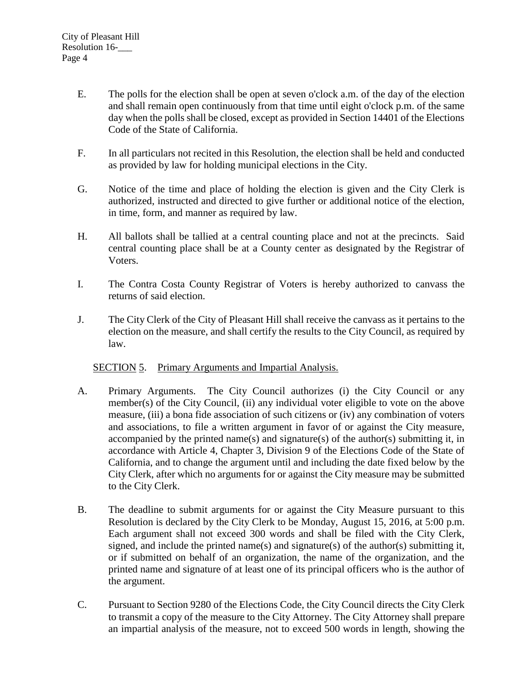- E. The polls for the election shall be open at seven o'clock a.m. of the day of the election and shall remain open continuously from that time until eight o'clock p.m. of the same day when the polls shall be closed, except as provided in Section 14401 of the Elections Code of the State of California.
- F. In all particulars not recited in this Resolution, the election shall be held and conducted as provided by law for holding municipal elections in the City.
- G. Notice of the time and place of holding the election is given and the City Clerk is authorized, instructed and directed to give further or additional notice of the election, in time, form, and manner as required by law.
- H. All ballots shall be tallied at a central counting place and not at the precincts. Said central counting place shall be at a County center as designated by the Registrar of Voters.
- I. The Contra Costa County Registrar of Voters is hereby authorized to canvass the returns of said election.
- J. The City Clerk of the City of Pleasant Hill shall receive the canvass as it pertains to the election on the measure, and shall certify the results to the City Council, as required by law.

## SECTION 5. Primary Arguments and Impartial Analysis.

- A. Primary Arguments. The City Council authorizes (i) the City Council or any member(s) of the City Council, (ii) any individual voter eligible to vote on the above measure, (iii) a bona fide association of such citizens or (iv) any combination of voters and associations, to file a written argument in favor of or against the City measure, accompanied by the printed name(s) and signature(s) of the author(s) submitting it, in accordance with Article 4, Chapter 3, Division 9 of the Elections Code of the State of California, and to change the argument until and including the date fixed below by the City Clerk, after which no arguments for or against the City measure may be submitted to the City Clerk.
- B. The deadline to submit arguments for or against the City Measure pursuant to this Resolution is declared by the City Clerk to be Monday, August 15, 2016, at 5:00 p.m. Each argument shall not exceed 300 words and shall be filed with the City Clerk, signed, and include the printed name(s) and signature(s) of the author(s) submitting it, or if submitted on behalf of an organization, the name of the organization, and the printed name and signature of at least one of its principal officers who is the author of the argument.
- C. Pursuant to Section 9280 of the Elections Code, the City Council directs the City Clerk to transmit a copy of the measure to the City Attorney. The City Attorney shall prepare an impartial analysis of the measure, not to exceed 500 words in length, showing the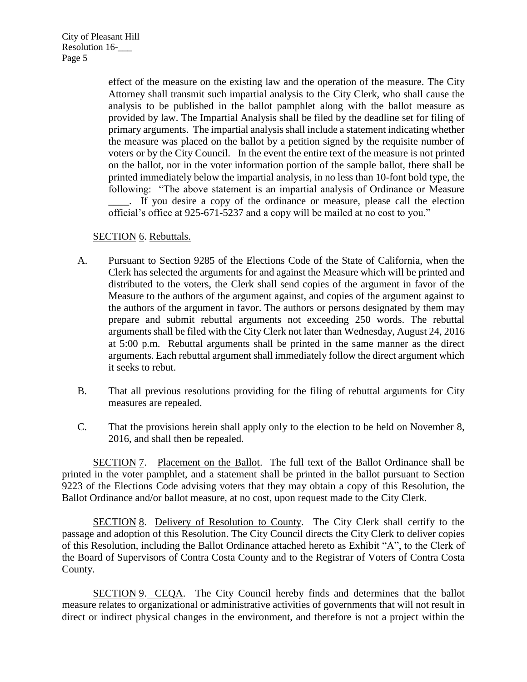effect of the measure on the existing law and the operation of the measure. The City Attorney shall transmit such impartial analysis to the City Clerk, who shall cause the analysis to be published in the ballot pamphlet along with the ballot measure as provided by law. The Impartial Analysis shall be filed by the deadline set for filing of primary arguments. The impartial analysis shall include a statement indicating whether the measure was placed on the ballot by a petition signed by the requisite number of voters or by the City Council. In the event the entire text of the measure is not printed on the ballot, nor in the voter information portion of the sample ballot, there shall be printed immediately below the impartial analysis, in no less than 10-font bold type, the following: "The above statement is an impartial analysis of Ordinance or Measure \_\_\_\_. If you desire a copy of the ordinance or measure, please call the election official's office at 925-671-5237 and a copy will be mailed at no cost to you."

## SECTION 6. Rebuttals.

- A. Pursuant to Section 9285 of the Elections Code of the State of California, when the Clerk has selected the arguments for and against the Measure which will be printed and distributed to the voters, the Clerk shall send copies of the argument in favor of the Measure to the authors of the argument against, and copies of the argument against to the authors of the argument in favor. The authors or persons designated by them may prepare and submit rebuttal arguments not exceeding 250 words. The rebuttal arguments shall be filed with the City Clerk not later than Wednesday, August 24, 2016 at 5:00 p.m. Rebuttal arguments shall be printed in the same manner as the direct arguments. Each rebuttal argument shall immediately follow the direct argument which it seeks to rebut.
- B. That all previous resolutions providing for the filing of rebuttal arguments for City measures are repealed.
- C. That the provisions herein shall apply only to the election to be held on November 8, 2016, and shall then be repealed.

SECTION 7. Placement on the Ballot. The full text of the Ballot Ordinance shall be printed in the voter pamphlet, and a statement shall be printed in the ballot pursuant to Section 9223 of the Elections Code advising voters that they may obtain a copy of this Resolution, the Ballot Ordinance and/or ballot measure, at no cost, upon request made to the City Clerk.

SECTION 8. Delivery of Resolution to County. The City Clerk shall certify to the passage and adoption of this Resolution. The City Council directs the City Clerk to deliver copies of this Resolution, including the Ballot Ordinance attached hereto as Exhibit "A", to the Clerk of the Board of Supervisors of Contra Costa County and to the Registrar of Voters of Contra Costa County.

SECTION 9. CEQA. The City Council hereby finds and determines that the ballot measure relates to organizational or administrative activities of governments that will not result in direct or indirect physical changes in the environment, and therefore is not a project within the